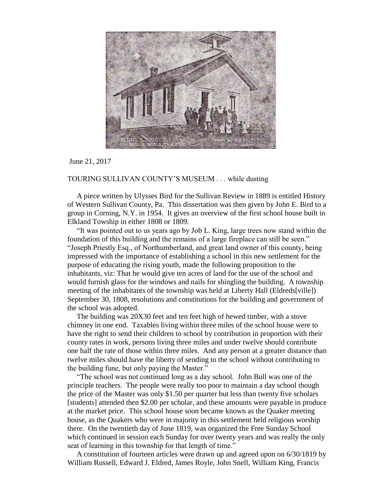

## June 21, 2017

## TOURING SULLIVAN COUNTY'S MUSEUM . . . while dusting

 A piece written by Ulysses Bird for the Sullivan Review in 1889 is entitled History of Western Sullivan County, Pa. This dissertation was then given by John E. Bird to a group in Corning, N.Y. in 1954. It gives an overview of the first school house built in Elkland Towship in either 1808 or 1809.

 "It was pointed out to us years ago by Job L. King, large trees now stand within the foundation of this building and the remains of a large fireplace can still be seen." "Joseph Priestly Esq., of Northumberland, and great land owner of this county, being impressed with the importance of establishing a school in this new settlement for the purpose of educating the rising youth, made the following proposition to the inhabitants, viz: That he would give ten acres of land for the use of the school and would furnish glass for the windows and nails for shingling the building. A township meeting of the inhabitants of the township was held at Liberty Hall (Eldreds[ville]) September 30, 1808, resolutions and constitutions for the building and government of the school was adopted.

 The building was 20X30 feet and ten feet high of hewed timber, with a stove chimney in one end. Taxables living within three miles of the school house were to have the right to send their children to school by contribution in proportion with their county rates in work, persons living three miles and under twelve should contribute one half the rate of those within three miles. And any person at a greater distance than twelve miles should have the liberty of sending to the school without contributing to the building fune, but only paying the Master."

 "The school was not continued long as a day school. John Bull was one of the principle teachers. The people were really too poor to maintain a day school though the price of the Master was only \$1.50 per quarter but less than twenty five scholars [students] attended then \$2.00 per scholar, and these amounts were payable in produce at the market price. This school house soon became known as the Quaker meeting house, as the Quakers who were in majority in this settlement held religious worship there. On the twentieth day of June 1819, was organized the Free Sunday School which continued in session each Sunday for over twenty years and was really the only seat of learning in this township for that length of time."

 A constitution of fourteen articles were drawn up and agreed upon on 6/30/1819 by William Russell, Edward J. Eldred, James Royle, John Snell, William King, Francis